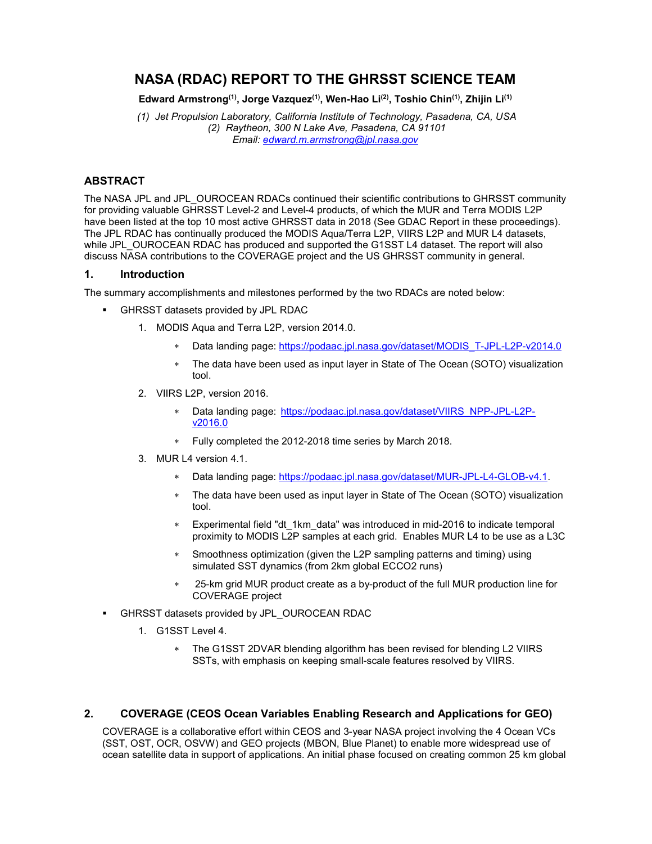# NASA (RDAC) REPORT TO THE GHRSST SCIENCE TEAM

Edward Armstrong<sup>(1)</sup>, Jorge Vazquez<sup>(1)</sup>, Wen-Hao Li<sup>(2)</sup>, Toshio Chin<sup>(1)</sup>, Zhijin Li<sup>(1)</sup>

(1) Jet Propulsion Laboratory, California Institute of Technology, Pasadena, CA, USA (2) Raytheon, 300 N Lake Ave, Pasadena, CA 91101 Email: edward.m.armstrong@jpl.nasa.gov

## ABSTRACT

The NASA JPL and JPL\_OUROCEAN RDACs continued their scientific contributions to GHRSST community for providing valuable GHRSST Level-2 and Level-4 products, of which the MUR and Terra MODIS L2P have been listed at the top 10 most active GHRSST data in 2018 (See GDAC Report in these proceedings). The JPL RDAC has continually produced the MODIS Aqua/Terra L2P, VIIRS L2P and MUR L4 datasets, while JPL\_OUROCEAN RDAC has produced and supported the G1SST L4 dataset. The report will also discuss NASA contributions to the COVERAGE project and the US GHRSST community in general.

#### 1. Introduction

The summary accomplishments and milestones performed by the two RDACs are noted below:

- GHRSST datasets provided by JPL RDAC
	- 1. MODIS Aqua and Terra L2P, version 2014.0.
		- Data landing page: https://podaac.jpl.nasa.gov/dataset/MODIS\_T-JPL-L2P-v2014.0
		- The data have been used as input layer in State of The Ocean (SOTO) visualization tool.
	- 2. VIIRS L2P, version 2016.
		- Data landing page: https://podaac.jpl.nasa.gov/dataset/VIIRS\_NPP-JPL-L2Pv2016.0
		- Fully completed the 2012-2018 time series by March 2018.
	- 3. MUR L4 version 4.1.
		- Data landing page: https://podaac.jpl.nasa.gov/dataset/MUR-JPL-L4-GLOB-v4.1.
		- The data have been used as input layer in State of The Ocean (SOTO) visualization tool.
		- Experimental field "dt\_1km\_data" was introduced in mid-2016 to indicate temporal proximity to MODIS L2P samples at each grid. Enables MUR L4 to be use as a L3C
		- Smoothness optimization (given the L2P sampling patterns and timing) using simulated SST dynamics (from 2km global ECCO2 runs)
		- 25-km grid MUR product create as a by-product of the full MUR production line for COVERAGE project
- GHRSST datasets provided by JPL\_OUROCEAN RDAC
	- 1. G1SST Level 4.
		- The G1SST 2DVAR blending algorithm has been revised for blending L2 VIIRS SSTs, with emphasis on keeping small-scale features resolved by VIIRS.

### 2. COVERAGE (CEOS Ocean Variables Enabling Research and Applications for GEO)

COVERAGE is a collaborative effort within CEOS and 3-year NASA project involving the 4 Ocean VCs (SST, OST, OCR, OSVW) and GEO projects (MBON, Blue Planet) to enable more widespread use of ocean satellite data in support of applications. An initial phase focused on creating common 25 km global